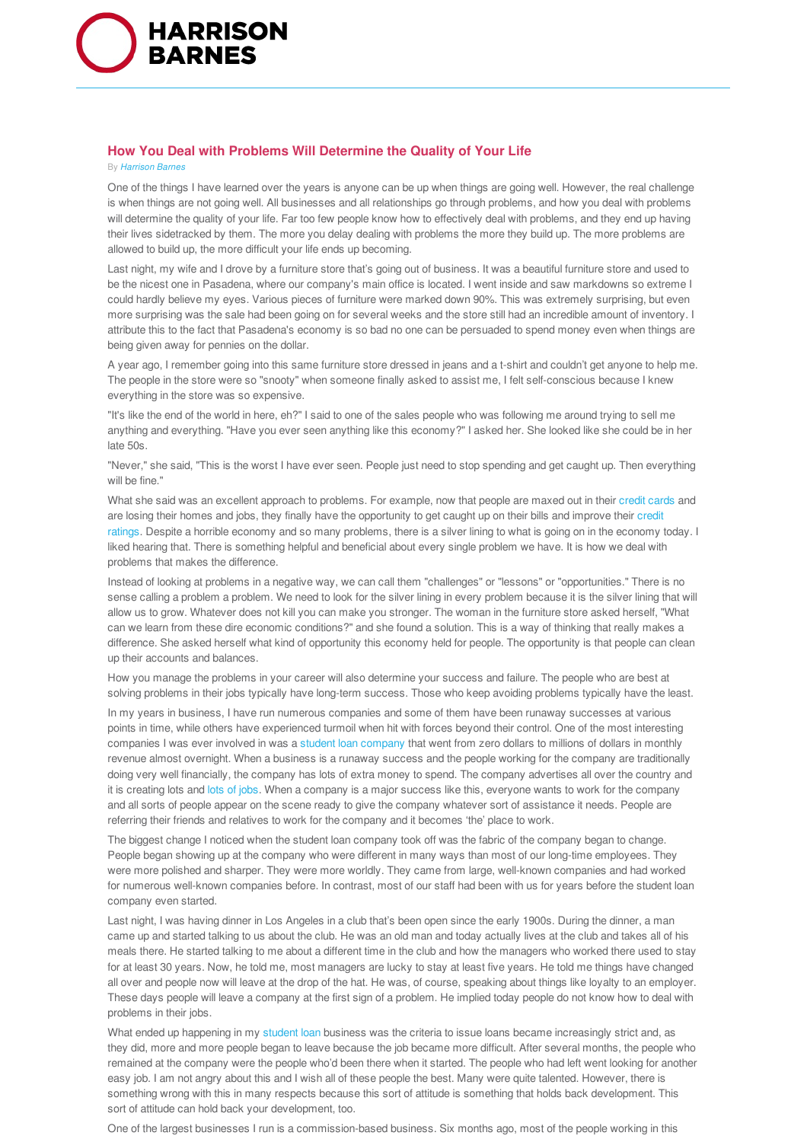

## **How You Deal with Problems Will Determine the Quality of Your Life**

## By *Harrison Barnes*

One of the things I have learned over the years is anyone can be up when things are going well. However, the real challenge is when things are not going well. All businesses and all relationships go through problems, and how you deal with problems will determine the quality of your life. Far too few people know how to effectively deal with problems, and they end up having their lives sidetracked by them. The more you delay dealing with problems the more they build up. The more problems are allowed to build up, the more difficult your life ends up becoming.

Last night, my wife and I drove by a furniture store that's going out of business. It was a beautiful furniture store and used to be the nicest one in Pasadena, where our company's main office is located. I went inside and saw markdowns so extreme I could hardly believe my eyes. Various pieces of furniture were marked down 90%. This was extremely surprising, but even more surprising was the sale had been going on for several weeks and the store still had an incredible amount of inventory. I attribute this to the fact that Pasadena's economy is so bad no one can be persuaded to spend money even when things are being given away for pennies on the dollar.

A year ago, I remember going into this same furniture store dressed in jeans and a t-shirt and couldn't get anyone to help me. The people in the store were so "snooty" when someone finally asked to assist me, I felt self-conscious because I knew everything in the store was so expensive.

"It's like the end of the world in here, eh?" I said to one of the sales people who was following me around trying to sell me anything and everything. "Have you ever seen anything like this economy?" I asked her. She looked like she could be in her late 50s.

"Never," she said, "This is the worst I have ever seen. People just need to stop spending and get caught up. Then everything will be fine."

What she said was an excellent approach to problems. For example, now that people are maxed out in their credit cards and are losing their homes and jobs, they finally have the opportunity to get caught up on their bills and improve their credit ratings. Despite a horrible economy and so many problems, there is a silver lining to what is going on in the economy today. I liked hearing that. There is something helpful and beneficial about every single problem we have. It is how we deal with problems that makes the difference.

Instead of looking at problems in a negative way, we can call them "challenges" or "lessons" or "opportunities." There is no sense calling a problem a problem. We need to look for the silver lining in every problem because it is the silver lining that will allow us to grow. Whatever does not kill you can make you stronger. The woman in the furniture store asked herself, "What can we learn from these dire economic conditions?" and she found a solution. This is a way of thinking that really makes a difference. She asked herself what kind of opportunity this economy held for people. The opportunity is that people can clean up their accounts and balances.

How you manage the problems in your career will also determine your success and failure. The people who are best at solving problems in their jobs typically have long-term success. Those who keep avoiding problems typically have the least.

In my years in business, I have run numerous companies and some of them have been runaway successes at various points in time, while others have experienced turmoil when hit with forces beyond their control. One of the most interesting companies I was ever involved in was a student loan company that went from zero dollars to millions of dollars in monthly revenue almost overnight. When a business is a runaway success and the people working for the company are traditionally doing very well financially, the company has lots of extra money to spend. The company advertises all over the country and it is creating lots and lots of jobs. When a company is a major success like this, everyone wants to work for the company and all sorts of people appear on the scene ready to give the company whatever sort of assistance it needs. People are referring their friends and relatives to work for the company and it becomes 'the' place to work.

The biggest change I noticed when the student loan company took off was the fabric of the company began to change. People began showing up at the company who were different in many ways than most of our long-time employees. They were more polished and sharper. They were more worldly. They came from large, well-known companies and had worked for numerous well-known companies before. In contrast, most of our staff had been with us for years before the student loan company even started.

Last night, I was having dinner in Los Angeles in a club that's been open since the early 1900s. During the dinner, a man came up and started talking to us about the club. He was an old man and today actually lives at the club and takes all of his meals there. He started talking to me about a different time in the club and how the managers who worked there used to stay for at least 30 years. Now, he told me, most managers are lucky to stay at least five years. He told me things have changed all over and people now will leave at the drop of the hat. He was, of course, speaking about things like loyalty to an employer. These days people will leave a company at the first sign of a problem. He implied today people do not know how to deal with problems in their jobs.

What ended up happening in my student loan business was the criteria to issue loans became increasingly strict and, as they did, more and more people began to leave because the job became more difficult. After several months, the people who remained at the company were the people who'd been there when it started. The people who had left went looking for another easy job. I am not angry about this and I wish all of these people the best. Many were quite talented. However, there is something wrong with this in many respects because this sort of attitude is something that holds back development. This sort of attitude can hold back your development, too.

One of the largest businesses I run is a commission-based business. Six months ago, most of the people working in this